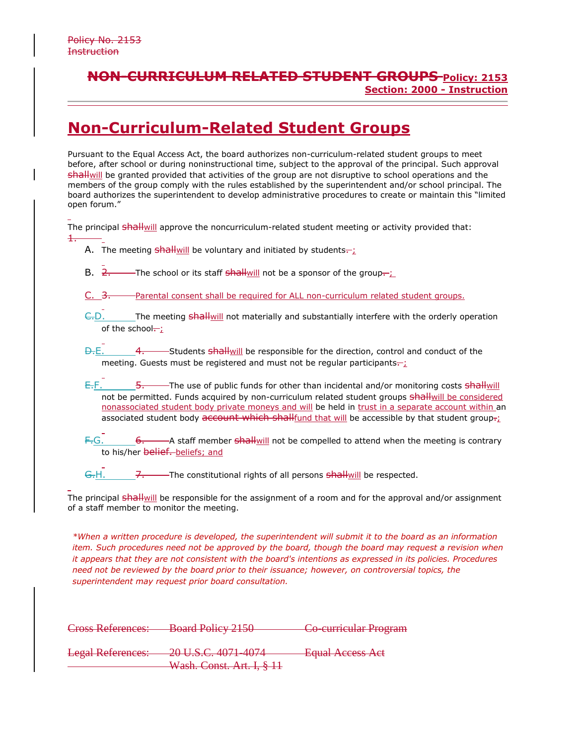1.

## **NON-CURRICULUM RELATED STUDENT GROUPS Policy: 2153 Section: 2000 - Instruction**

## **Non-Curriculum-Related Student Groups**

Pursuant to the Equal Access Act, the board authorizes non-curriculum-related student groups to meet before, after school or during noninstructional time, subject to the approval of the principal. Such approval shallwill be granted provided that activities of the group are not disruptive to school operations and the members of the group comply with the rules established by the superintendent and/or school principal. The board authorizes the superintendent to develop administrative procedures to create or maintain this "limited open forum."

The principal shallwill approve the noncurriculum-related student meeting or activity provided that:

- A. The meeting  $shall$  will be voluntary and initiated by students $\pm$
- B.  $2.$  The school or its staff shall will not be a sponsor of the group.
- C.  $\frac{3}{100}$  Parental consent shall be required for ALL non-curriculum related student groups.
- $\epsilon$ . The meeting shall will not materially and substantially interfere with the orderly operation of the school $\div$ ;
- D.E. 4. Students shall will be responsible for the direction, control and conduct of the meeting. Guests must be registered and must not be regular participants...;
- E.F. 5. The use of public funds for other than incidental and/or monitoring costs shallwill not be permitted. Funds acquired by non-curriculum related student groups shallwill be considered nonassociated student body private moneys and will be held in trust in a separate account within an associated student body account which shallfund that will be accessible by that student group- $\ddot{i}$
- $F-G.$  6.  $\longrightarrow$  A staff member shall will not be compelled to attend when the meeting is contrary to his/her belief. beliefs; and
- G.H. 7. The constitutional rights of all persons shall will be respected.

The principal shallwill be responsible for the assignment of a room and for the approval and/or assignment of a staff member to monitor the meeting.

*\*When a written procedure is developed, the superintendent will submit it to the board as an information item. Such procedures need not be approved by the board, though the board may request a revision when it appears that they are not consistent with the board's intentions as expressed in its policies. Procedures need not be reviewed by the board prior to their issuance; however, on controversial topics, the superintendent may request prior board consultation.*

| <b>Equal Access Act</b> |
|-------------------------|
|                         |